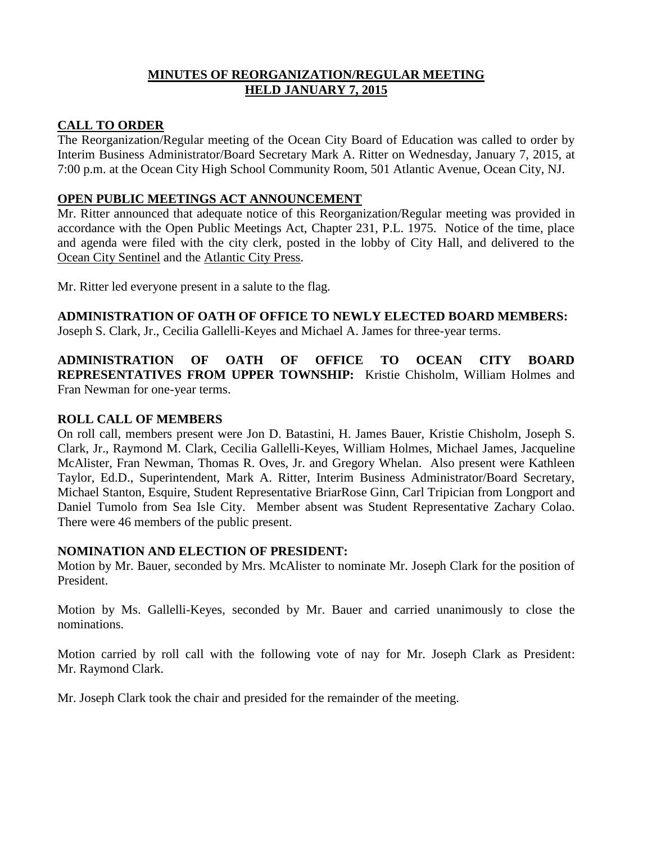# **MINUTES OF REORGANIZATION/REGULAR MEETING HELD JANUARY 7, 2015**

## **CALL TO ORDER**

The Reorganization/Regular meeting of the Ocean City Board of Education was called to order by Interim Business Administrator/Board Secretary Mark A. Ritter on Wednesday, January 7, 2015, at 7:00 p.m. at the Ocean City High School Community Room, 501 Atlantic Avenue, Ocean City, NJ.

## **OPEN PUBLIC MEETINGS ACT ANNOUNCEMENT**

Mr. Ritter announced that adequate notice of this Reorganization/Regular meeting was provided in accordance with the Open Public Meetings Act, Chapter 231, P.L. 1975. Notice of the time, place and agenda were filed with the city clerk, posted in the lobby of City Hall, and delivered to the Ocean City Sentinel and the Atlantic City Press.

Mr. Ritter led everyone present in a salute to the flag.

**ADMINISTRATION OF OATH OF OFFICE TO NEWLY ELECTED BOARD MEMBERS:** 

Joseph S. Clark, Jr., Cecilia Gallelli-Keyes and Michael A. James for three-year terms.

**ADMINISTRATION OF OATH OF OFFICE TO OCEAN CITY BOARD REPRESENTATIVES FROM UPPER TOWNSHIP:** Kristie Chisholm, William Holmes and Fran Newman for one-year terms.

## **ROLL CALL OF MEMBERS**

On roll call, members present were Jon D. Batastini, H. James Bauer, Kristie Chisholm, Joseph S. Clark, Jr., Raymond M. Clark, Cecilia Gallelli-Keyes, William Holmes, Michael James, Jacqueline McAlister, Fran Newman, Thomas R. Oves, Jr. and Gregory Whelan. Also present were Kathleen Taylor, Ed.D., Superintendent, Mark A. Ritter, Interim Business Administrator/Board Secretary, Michael Stanton, Esquire, Student Representative BriarRose Ginn, Carl Tripician from Longport and Daniel Tumolo from Sea Isle City. Member absent was Student Representative Zachary Colao. There were 46 members of the public present.

### **NOMINATION AND ELECTION OF PRESIDENT:**

Motion by Mr. Bauer, seconded by Mrs. McAlister to nominate Mr. Joseph Clark for the position of President.

Motion by Ms. Gallelli-Keyes, seconded by Mr. Bauer and carried unanimously to close the nominations.

Motion carried by roll call with the following vote of nay for Mr. Joseph Clark as President: Mr. Raymond Clark.

Mr. Joseph Clark took the chair and presided for the remainder of the meeting.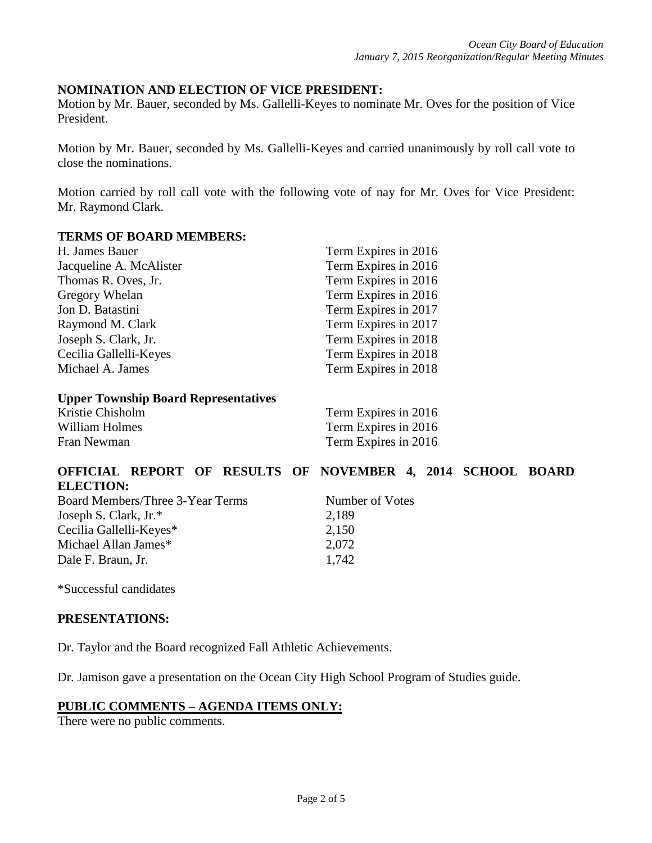## **NOMINATION AND ELECTION OF VICE PRESIDENT:**

Motion by Mr. Bauer, seconded by Ms. Gallelli-Keyes to nominate Mr. Oves for the position of Vice President.

Motion by Mr. Bauer, seconded by Ms. Gallelli-Keyes and carried unanimously by roll call vote to close the nominations.

Motion carried by roll call vote with the following vote of nay for Mr. Oves for Vice President: Mr. Raymond Clark.

### **TERMS OF BOARD MEMBERS:**

| H. James Bauer          | Term Expires in 2016 |
|-------------------------|----------------------|
| Jacqueline A. McAlister | Term Expires in 2016 |
| Thomas R. Oves, Jr.     | Term Expires in 2016 |
| Gregory Whelan          | Term Expires in 2016 |
| Jon D. Batastini        | Term Expires in 2017 |
| Raymond M. Clark        | Term Expires in 2017 |
| Joseph S. Clark, Jr.    | Term Expires in 2018 |
| Cecilia Gallelli-Keyes  | Term Expires in 2018 |
| Michael A. James        | Term Expires in 2018 |
|                         |                      |

#### **Upper Township Board Representatives**

| Kristie Chisholm | Term Expires in 2016 |
|------------------|----------------------|
| William Holmes   | Term Expires in 2016 |
| Fran Newman      | Term Expires in 2016 |

## **OFFICIAL REPORT OF RESULTS OF NOVEMBER 4, 2014 SCHOOL BOARD ELECTION:**

| Board Members/Three 3-Year Terms | Number of Votes |  |
|----------------------------------|-----------------|--|
| Joseph S. Clark, $Jr.*$          | 2,189           |  |
| Cecilia Gallelli-Keyes*          | 2,150           |  |
| Michael Allan James*             | 2.072           |  |
| Dale F. Braun, Jr.               | 1.742           |  |

\*Successful candidates

#### **PRESENTATIONS:**

Dr. Taylor and the Board recognized Fall Athletic Achievements.

Dr. Jamison gave a presentation on the Ocean City High School Program of Studies guide.

### **PUBLIC COMMENTS – AGENDA ITEMS ONLY:**

There were no public comments.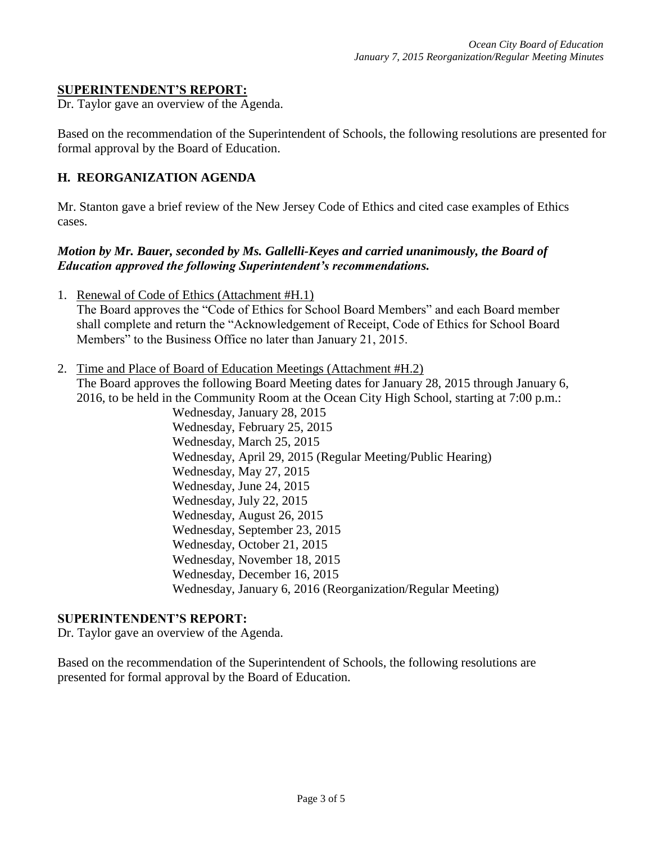### **SUPERINTENDENT'S REPORT:**

Dr. Taylor gave an overview of the Agenda.

Based on the recommendation of the Superintendent of Schools, the following resolutions are presented for formal approval by the Board of Education.

### **H. REORGANIZATION AGENDA**

Mr. Stanton gave a brief review of the New Jersey Code of Ethics and cited case examples of Ethics cases.

## *Motion by Mr. Bauer, seconded by Ms. Gallelli-Keyes and carried unanimously, the Board of Education approved the following Superintendent's recommendations.*

1. Renewal of Code of Ethics (Attachment #H.1)

The Board approves the "Code of Ethics for School Board Members" and each Board member shall complete and return the "Acknowledgement of Receipt, Code of Ethics for School Board Members" to the Business Office no later than January 21, 2015.

2. Time and Place of Board of Education Meetings (Attachment #H.2)

The Board approves the following Board Meeting dates for January 28, 2015 through January 6, 2016, to be held in the Community Room at the Ocean City High School, starting at 7:00 p.m.:

Wednesday, January 28, 2015 Wednesday, February 25, 2015 Wednesday, March 25, 2015 Wednesday, April 29, 2015 (Regular Meeting/Public Hearing) Wednesday, May 27, 2015 Wednesday, June 24, 2015 Wednesday, July 22, 2015 Wednesday, August 26, 2015 Wednesday, September 23, 2015 Wednesday, October 21, 2015 Wednesday, November 18, 2015 Wednesday, December 16, 2015 Wednesday, January 6, 2016 (Reorganization/Regular Meeting)

### **SUPERINTENDENT'S REPORT:**

Dr. Taylor gave an overview of the Agenda.

Based on the recommendation of the Superintendent of Schools, the following resolutions are presented for formal approval by the Board of Education.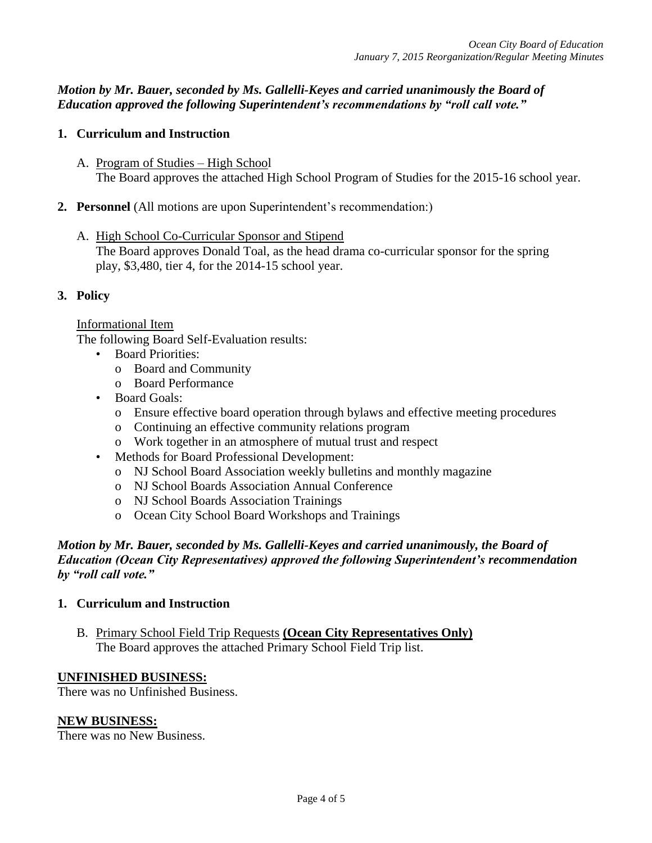*Motion by Mr. Bauer, seconded by Ms. Gallelli-Keyes and carried unanimously the Board of Education approved the following Superintendent's recommendations by "roll call vote."* 

### **1. Curriculum and Instruction**

- A. Program of Studies High School The Board approves the attached High School Program of Studies for the 2015-16 school year.
- **2. Personnel** (All motions are upon Superintendent's recommendation:)
	- A. High School Co-Curricular Sponsor and Stipend The Board approves Donald Toal, as the head drama co-curricular sponsor for the spring play, \$3,480, tier 4, for the 2014-15 school year.

## **3. Policy**

### Informational Item

The following Board Self-Evaluation results:

- Board Priorities:
	- o Board and Community
	- o Board Performance
- Board Goals:
	- o Ensure effective board operation through bylaws and effective meeting procedures
	- o Continuing an effective community relations program
	- o Work together in an atmosphere of mutual trust and respect
- Methods for Board Professional Development:
	- o NJ School Board Association weekly bulletins and monthly magazine
	- o NJ School Boards Association Annual Conference
	- o NJ School Boards Association Trainings
	- o Ocean City School Board Workshops and Trainings

## *Motion by Mr. Bauer, seconded by Ms. Gallelli-Keyes and carried unanimously, the Board of Education (Ocean City Representatives) approved the following Superintendent's recommendation by "roll call vote."*

### **1. Curriculum and Instruction**

B. Primary School Field Trip Requests **(Ocean City Representatives Only)** The Board approves the attached Primary School Field Trip list.

### **UNFINISHED BUSINESS:**

There was no Unfinished Business.

### **NEW BUSINESS:**

There was no New Business.